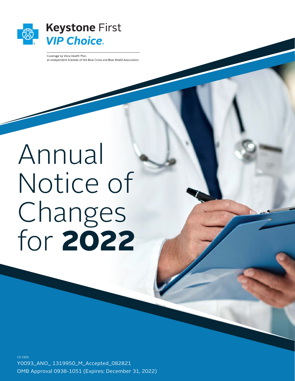

Coverage by Vista Health Plan, an independent licensee of the Blue Cross and Blue Shield Association.

# Annual Notice of Changes for 2022

Y0093\_ANO\_ 1319950\_M\_Accepted\_082821 OMB Approval 0938-1051 (Expires: December 31, 2022) CS 1925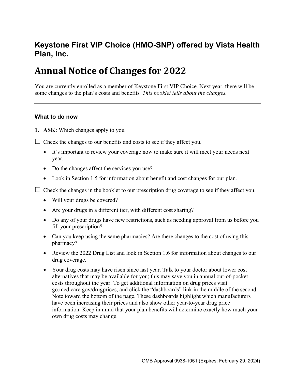# **Keystone First VIP Choice (HMO-SNP) offered by Vista Health Plan, Inc.**

# **Annual Notice of Changes for 2022**

You are currently enrolled as a member of Keystone First VIP Choice. Next year, there will be some changes to the plan's costs and benefits*. This booklet tells about the changes.* 

#### **What to do now**

**1. ASK:** Which changes apply to you

 $\Box$  Check the changes to our benefits and costs to see if they affect you.

- It's important to review your coverage now to make sure it will meet your needs next year.
- Do the changes affect the services you use?
- Look in Section 1.5 for information about benefit and cost changes for our plan.

 $\Box$  Check the changes in the booklet to our prescription drug coverage to see if they affect you.

- Will your drugs be covered?
- Are your drugs in a different tier, with different cost sharing?
- Do any of your drugs have new restrictions, such as needing approval from us before you fill your prescription?
- Can you keep using the same pharmacies? Are there changes to the cost of using this pharmacy?
- Review the 2022 Drug List and look in Section 1.6 for information about changes to our drug coverage.
- Your drug costs may have risen since last year. Talk to your doctor about lower cost alternatives that may be available for you; this may save you in annual out-of-pocket costs throughout the year. To get additional information on drug prices visit [go.medicare.gov/drugprices,](http://go.medicare.gov/drugprices) and click the "dashboards" link in the middle of the second Note toward the bottom of the page. These dashboards highlight which manufacturers have been increasing their prices and also show other year-to-year drug price information. Keep in mind that your plan benefits will determine exactly how much your own drug costs may change.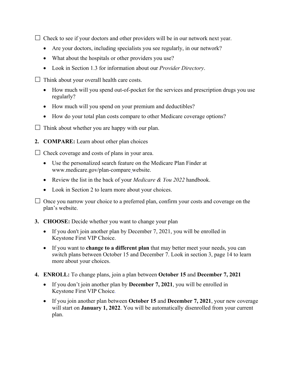$\Box$  Check to see if your doctors and other providers will be in our network next year.

- Are your doctors, including specialists you see regularly, in our network?
- What about the hospitals or other providers you use?
- Look in Section 1.3 for information about our *Provider Directory*.
- $\Box$  Think about your overall health care costs.
	- How much will you spend out-of-pocket for the services and prescription drugs you use regularly?
	- How much will you spend on your premium and deductibles?
	- How do your total plan costs compare to other Medicare coverage options?
- $\Box$  Think about whether you are happy with our plan.
- **2. COMPARE:** Learn about other plan choices

 $\Box$  Check coverage and costs of plans in your area.

- Use the personalized search feature on the Medicare Plan Finder at [www.medicare.gov/plan-compare](http://www.medicare.gov/plan-compare) website.
- Review the list in the back of your *Medicare & You 2022* handbook.
- Look in Section 2 to learn more about your choices.

 $\Box$  Once you narrow your choice to a preferred plan, confirm your costs and coverage on the plan's website.

- **3. CHOOSE:** Decide whether you want to change your plan
	- If you don't join another plan by December 7, 2021, you will be enrolled in Keystone First VIP Choice.
	- If you want to **change to a different plan** that may better meet your needs, you can switch plans between October 15 and December 7. Look in section 3, page 14 to learn more about your choices.
- **4. ENROLL:** To change plans, join a plan between **October 15** and **December 7, 2021**
	- If you don't join another plan by **December 7, 2021**, you will be enrolled in Keystone First VIP Choice*.*
	- If you join another plan between **October 15** and **December 7, 2021**, your new coverage will start on **January 1, 2022**. You will be automatically disenrolled from your current plan.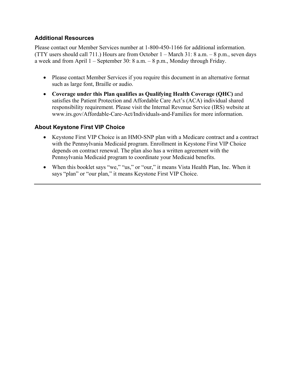## **Additional Resources**

Please contact our Member Services number at 1-800-450-1166 for additional information. (TTY users should call 711.) Hours are from October 1 – March 31: 8 a.m. – 8 p.m., seven days a week and from April 1 – September 30: 8 a.m. – 8 p.m., Monday through Friday.

- Please contact Member Services if you require this document in an alternative format such as large font, Braille or audio.
- **Coverage under this Plan qualifies as Qualifying Health Coverage (QHC)** and satisfies the Patient Protection and Affordable Care Act's (ACA) individual shared responsibility requirement. Please visit the Internal Revenue Service (IRS) website at [www.irs.gov/Affordable-Care-Act/Individuals-and-Families](http://www.irs.gov/Affordable-Care-Act/Individuals-and-Families) for more information.

#### **About Keystone First VIP Choice**

- Keystone First VIP Choice is an HMO-SNP plan with a Medicare contract and a contract with the Pennsylvania Medicaid program. Enrollment in Keystone First VIP Choice depends on contract renewal. The plan also has a written agreement with the Pennsylvania Medicaid program to coordinate your Medicaid benefits.
- When this booklet says "we," "us," or "our," it means Vista Health Plan, Inc. When it says "plan" or "our plan," it means Keystone First VIP Choice.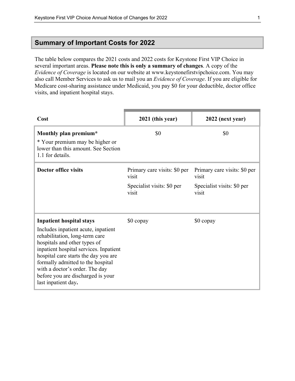# **Summary of Important Costs for 2022**

The table below compares the 2021 costs and 2022 costs for Keystone First VIP Choice in several important areas. **Please note this is only a summary of changes**. A copy of the *Evidence of Coverage* is located on our website at [www.keystonefirstvipchoice.com.](http://www.keystonefirstvipchoice.com) You may also call Member Services to ask us to mail you an *Evidence of Coverage*. If you are eligible for Medicare cost-sharing assistance under Medicaid, you pay \$0 for your deductible, doctor office visits, and inpatient hospital stays.

| Cost                                                                                                                                                                                                                                                                                                                       | 2021 (this year)                      | 2022 (next year)                      |
|----------------------------------------------------------------------------------------------------------------------------------------------------------------------------------------------------------------------------------------------------------------------------------------------------------------------------|---------------------------------------|---------------------------------------|
| Monthly plan premium*                                                                                                                                                                                                                                                                                                      | \$0                                   | \$0                                   |
| * Your premium may be higher or<br>lower than this amount. See Section<br>1.1 for details.                                                                                                                                                                                                                                 |                                       |                                       |
| <b>Doctor office visits</b>                                                                                                                                                                                                                                                                                                | Primary care visits: \$0 per<br>visit | Primary care visits: \$0 per<br>visit |
|                                                                                                                                                                                                                                                                                                                            | Specialist visits: \$0 per<br>visit   | Specialist visits: \$0 per<br>visit   |
| <b>Inpatient hospital stays</b>                                                                                                                                                                                                                                                                                            | \$0 copay                             | \$0 copay                             |
| Includes inpatient acute, inpatient<br>rehabilitation, long-term care<br>hospitals and other types of<br>inpatient hospital services. Inpatient<br>hospital care starts the day you are<br>formally admitted to the hospital<br>with a doctor's order. The day<br>before you are discharged is your<br>last inpatient day. |                                       |                                       |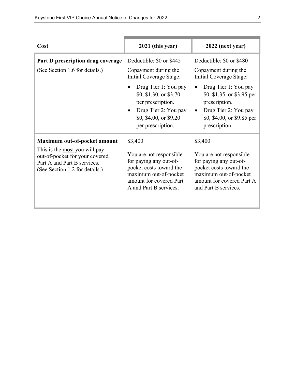| Cost                                                                                                                                                                    | 2021 (this year)                                                                                                                                                                                                  | 2022 (next year)                                                                                                                                                                                                      |
|-------------------------------------------------------------------------------------------------------------------------------------------------------------------------|-------------------------------------------------------------------------------------------------------------------------------------------------------------------------------------------------------------------|-----------------------------------------------------------------------------------------------------------------------------------------------------------------------------------------------------------------------|
| Part D prescription drug coverage<br>(See Section 1.6 for details.)                                                                                                     | Deductible: \$0 or \$445<br>Copayment during the<br>Initial Coverage Stage:<br>Drug Tier 1: You pay<br>\$0, \$1.30, or \$3.70<br>per prescription.<br>Drug Tier 2: You pay<br>$\bullet$<br>\$0, \$4.00, or \$9.20 | Deductible: \$0 or \$480<br>Copayment during the<br>Initial Coverage Stage:<br>Drug Tier 1: You pay<br>\$0, \$1.35, or \$3.95 per<br>prescription.<br>Drug Tier 2: You pay<br>$\bullet$<br>\$0, \$4.00, or \$9.85 per |
| Maximum out-of-pocket amount<br>This is the <u>most</u> you will pay<br>out-of-pocket for your covered<br>Part A and Part B services.<br>(See Section 1.2 for details.) | per prescription.<br>\$3,400<br>You are not responsible<br>for paying any out-of-<br>pocket costs toward the<br>maximum out-of-pocket<br>amount for covered Part<br>A and Part B services.                        | prescription<br>\$3,400<br>You are not responsible<br>for paying any out-of-<br>pocket costs toward the<br>maximum out-of-pocket<br>amount for covered Part A<br>and Part B services.                                 |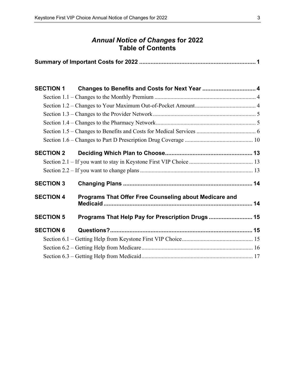# *Annual Notice of Changes* **for 2022 Table of Contents**

|--|

| <b>SECTION 1</b> | Changes to Benefits and Costs for Next Year  4         |  |
|------------------|--------------------------------------------------------|--|
|                  |                                                        |  |
|                  |                                                        |  |
|                  |                                                        |  |
|                  |                                                        |  |
|                  |                                                        |  |
|                  |                                                        |  |
| <b>SECTION 2</b> |                                                        |  |
|                  |                                                        |  |
|                  |                                                        |  |
| <b>SECTION 3</b> |                                                        |  |
| <b>SECTION 4</b> | Programs That Offer Free Counseling about Medicare and |  |
| <b>SECTION 5</b> | Programs That Help Pay for Prescription Drugs  15      |  |
| <b>SECTION 6</b> |                                                        |  |
|                  |                                                        |  |
|                  |                                                        |  |
|                  |                                                        |  |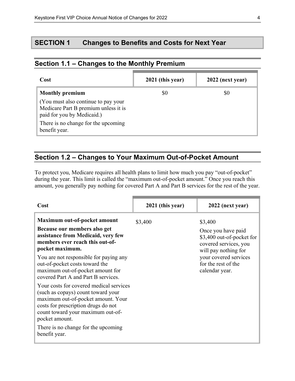# **SECTION 1 Changes to Benefits and Costs for Next Year**

| Cost                                                                                                      | 2021 (this year) | 2022 (next year) |
|-----------------------------------------------------------------------------------------------------------|------------------|------------------|
| <b>Monthly premium</b>                                                                                    | \$0              | \$0              |
| (You must also continue to pay your<br>Medicare Part B premium unless it is<br>paid for you by Medicaid.) |                  |                  |
| There is no change for the upcoming<br>benefit year.                                                      |                  |                  |

# **Section 1.1 – Changes to the Monthly Premium**

# **Section 1.2 – Changes to Your Maximum Out-of-Pocket Amount**

To protect you, Medicare requires all health plans to limit how much you pay "out-of-pocket" during the year. This limit is called the "maximum out-of-pocket amount." Once you reach this amount, you generally pay nothing for covered Part A and Part B services for the rest of the year.

| Cost                                                                                                                                                                                                                                                                                                                                                                                                                                                                                                                                                                                         | 2021 (this year) | 2022 (next year)                                                                                                                                                              |
|----------------------------------------------------------------------------------------------------------------------------------------------------------------------------------------------------------------------------------------------------------------------------------------------------------------------------------------------------------------------------------------------------------------------------------------------------------------------------------------------------------------------------------------------------------------------------------------------|------------------|-------------------------------------------------------------------------------------------------------------------------------------------------------------------------------|
| Maximum out-of-pocket amount<br>Because our members also get<br>assistance from Medicaid, very few<br>members ever reach this out-of-<br>pocket maximum.<br>You are not responsible for paying any<br>out-of-pocket costs toward the<br>maximum out-of-pocket amount for<br>covered Part A and Part B services.<br>Your costs for covered medical services<br>(such as copays) count toward your<br>maximum out-of-pocket amount. Your<br>costs for prescription drugs do not<br>count toward your maximum out-of-<br>pocket amount.<br>There is no change for the upcoming<br>benefit year. | \$3,400          | \$3,400<br>Once you have paid<br>\$3,400 out-of-pocket for<br>covered services, you<br>will pay nothing for<br>your covered services<br>for the rest of the<br>calendar year. |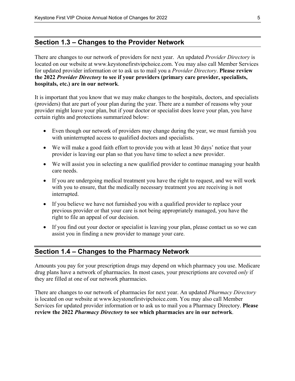#### **Section 1.3 – Changes to the Provider Network**

There are changes to our network of providers for next year. An updated *Provider Directory* is located on our website at [www.keystonefirstvipchoice.com.](http://www.keystonefirstvipchoice.com) You may also call Member Services for updated provider information or to ask us to mail you a *Provider Directory*. **Please review the 2022** *Provider Directory* **to see if your providers (primary care provider, specialists, hospitals, etc.) are in our network**.

It is important that you know that we may make changes to the hospitals, doctors, and specialists (providers) that are part of your plan during the year. There are a number of reasons why your provider might leave your plan, but if your doctor or specialist does leave your plan, you have certain rights and protections summarized below:

- Even though our network of providers may change during the year, we must furnish you with uninterrupted access to qualified doctors and specialists.
- We will make a good faith effort to provide you with at least 30 days' notice that your provider is leaving our plan so that you have time to select a new provider.
- We will assist you in selecting a new qualified provider to continue managing your health care needs.
- If you are undergoing medical treatment you have the right to request, and we will work with you to ensure, that the medically necessary treatment you are receiving is not interrupted.
- If you believe we have not furnished you with a qualified provider to replace your previous provider or that your care is not being appropriately managed, you have the right to file an appeal of our decision.
- If you find out your doctor or specialist is leaving your plan, please contact us so we can assist you in finding a new provider to manage your care.

# **Section 1.4 – Changes to the Pharmacy Network**

Amounts you pay for your prescription drugs may depend on which pharmacy you use. Medicare drug plans have a network of pharmacies. In most cases, your prescriptions are covered *only* if they are filled at one of our network pharmacies.

There are changes to our network of pharmacies for next year. An updated *Pharmacy Directory*  is located on our website at [www.keystonefirstvipchoice.com.](http://www.keystonefirstvipchoice.com) You may also call Member Services for updated provider information or to ask us to mail you a Pharmacy Directory. **Please review the 2022** *Pharmacy Directory* **to see which pharmacies are in our network**.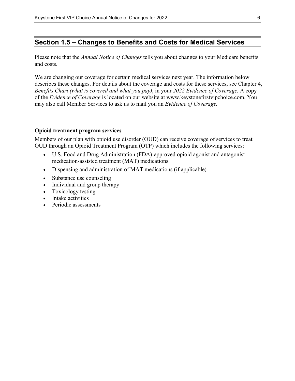## **Section 1.5 – Changes to Benefits and Costs for Medical Services**

Please note that the *Annual Notice of Changes* tells you about changes to your Medicare benefits and costs.

 may also call Member Services to ask us to mail you an *Evidence of Coverage.* We are changing our coverage for certain medical services next year. The information below describes these changes. For details about the coverage and costs for these services, see Chapter 4, *Benefits Chart (what is covered and what you pay)*, in your *2022 Evidence of Coverage.* A copy of the *Evidence of Coverage* is located on our website at [www.keystonefirstvipchoice.com.](http://www.keystonefirstvipchoice.com) You

#### **Opioid treatment program services**

Members of our plan with opioid use disorder (OUD) can receive coverage of services to treat OUD through an Opioid Treatment Program (OTP) which includes the following services:

- U.S. Food and Drug Administration (FDA)-approved opioid agonist and antagonist medication-assisted treatment (MAT) medications.
- Dispensing and administration of MAT medications (if applicable)
- Substance use counseling
- Individual and group therapy
- Toxicology testing
- Intake activities
- Periodic assessments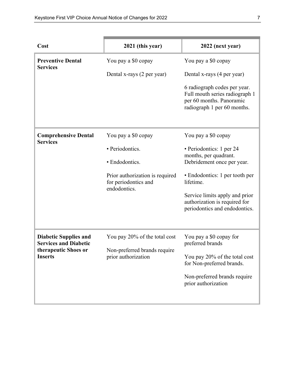| Cost                                                         | 2021 (this year)                                                        | 2022 (next year)                                                                                                          |
|--------------------------------------------------------------|-------------------------------------------------------------------------|---------------------------------------------------------------------------------------------------------------------------|
| <b>Preventive Dental</b><br><b>Services</b>                  | You pay a \$0 copay                                                     | You pay a \$0 copay                                                                                                       |
|                                                              | Dental x-rays (2 per year)                                              | Dental x-rays (4 per year)                                                                                                |
|                                                              |                                                                         | 6 radiograph codes per year.<br>Full mouth series radiograph 1<br>per 60 months. Panoramic<br>radiograph 1 per 60 months. |
| <b>Comprehensive Dental</b><br><b>Services</b>               | You pay a \$0 copay                                                     | You pay a \$0 copay                                                                                                       |
|                                                              | · Periodontics.                                                         | · Periodontics: 1 per 24<br>months, per quadrant.                                                                         |
|                                                              | • Endodontics.                                                          | Debridement once per year.                                                                                                |
|                                                              | Prior authorization is required<br>for periodontics and<br>endodontics. | • Endodontics: 1 per tooth per<br>lifetime.                                                                               |
|                                                              |                                                                         | Service limits apply and prior<br>authorization is required for<br>periodontics and endodontics.                          |
|                                                              |                                                                         |                                                                                                                           |
| <b>Diabetic Supplies and</b><br><b>Services and Diabetic</b> | You pay 20% of the total cost                                           | You pay a \$0 copay for<br>preferred brands                                                                               |
| therapeutic Shoes or<br><b>Inserts</b>                       | Non-preferred brands require<br>prior authorization                     | You pay 20% of the total cost<br>for Non-preferred brands.                                                                |
|                                                              |                                                                         | Non-preferred brands require<br>prior authorization                                                                       |
|                                                              |                                                                         |                                                                                                                           |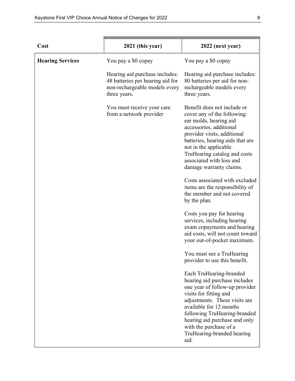| Cost                    | 2021 (this year)                                                                                                    | 2022 (next year)                                                                                                                                                                                                                                                                                                  |
|-------------------------|---------------------------------------------------------------------------------------------------------------------|-------------------------------------------------------------------------------------------------------------------------------------------------------------------------------------------------------------------------------------------------------------------------------------------------------------------|
| <b>Hearing Services</b> | You pay a \$0 copay                                                                                                 | You pay a \$0 copay                                                                                                                                                                                                                                                                                               |
|                         | Hearing aid purchase includes:<br>48 batteries per hearing aid for<br>non-rechargeable models every<br>three years. | Hearing aid purchase includes:<br>80 batteries per aid for non-<br>rechargeable models every<br>three years.                                                                                                                                                                                                      |
|                         | You must receive your care<br>from a network provider                                                               | Benefit does not include or<br>cover any of the following:<br>ear molds, hearing aid<br>accessories, additional<br>provider visits, additional<br>batteries, hearing aids that are<br>not in the applicable<br>TruHearing catalog and costs<br>associated with loss and<br>damage warranty claims.                |
|                         |                                                                                                                     | Costs associated with excluded<br>items are the responsibility of<br>the member and not covered<br>by the plan.                                                                                                                                                                                                   |
|                         |                                                                                                                     | Costs you pay for hearing<br>services, including hearing<br>exam copayments and hearing<br>aid costs, will not count toward<br>your out-of-pocket maximum.                                                                                                                                                        |
|                         |                                                                                                                     | You must see a TruHearing<br>provider to use this benefit.                                                                                                                                                                                                                                                        |
|                         |                                                                                                                     | Each TruHearing-branded<br>hearing aid purchase includes<br>one year of follow-up provider<br>visits for fitting and<br>adjustments. These visits are<br>available for 12 months<br>following TruHearing-branded<br>hearing aid purchase and only<br>with the purchase of a<br>TruHearing-branded hearing<br>aid. |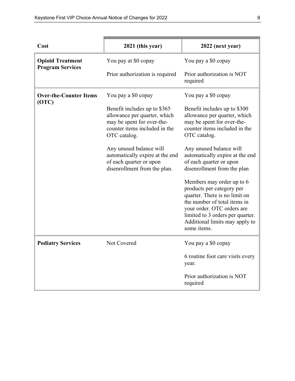| Cost                                   | 2021 (this year)                                                                                                                            | 2022 (next year)                                                                                                                                                                                                                           |
|----------------------------------------|---------------------------------------------------------------------------------------------------------------------------------------------|--------------------------------------------------------------------------------------------------------------------------------------------------------------------------------------------------------------------------------------------|
| <b>Opioid Treatment</b>                | You pay at \$0 copay                                                                                                                        | You pay a \$0 copay                                                                                                                                                                                                                        |
| <b>Program Services</b>                | Prior authorization is required                                                                                                             | Prior authorization is NOT<br>required                                                                                                                                                                                                     |
| <b>Over-the-Counter Items</b><br>(OTC) | You pay a \$0 copay                                                                                                                         | You pay a \$0 copay                                                                                                                                                                                                                        |
|                                        | Benefit includes up to \$365<br>allowance per quarter, which<br>may be spent for over-the-<br>counter items included in the<br>OTC catalog. | Benefit includes up to \$300<br>allowance per quarter, which<br>may be spent for over-the-<br>counter items included in the<br>OTC catalog.                                                                                                |
|                                        | Any unused balance will<br>automatically expire at the end<br>of each quarter or upon<br>disenrollment from the plan.                       | Any unused balance will<br>automatically expire at the end<br>of each quarter or upon<br>disenrollment from the plan                                                                                                                       |
|                                        |                                                                                                                                             | Members may order up to 6<br>products per category per<br>quarter. There is no limit on<br>the number of total items in<br>your order. OTC orders are<br>limited to 3 orders per quarter.<br>Additional limits may apply to<br>some items. |
| <b>Podiatry Services</b>               | Not Covered                                                                                                                                 | You pay a \$0 copay                                                                                                                                                                                                                        |
|                                        |                                                                                                                                             | 6 routine foot care visits every<br>year.                                                                                                                                                                                                  |
|                                        |                                                                                                                                             | Prior authorization is NOT<br>required                                                                                                                                                                                                     |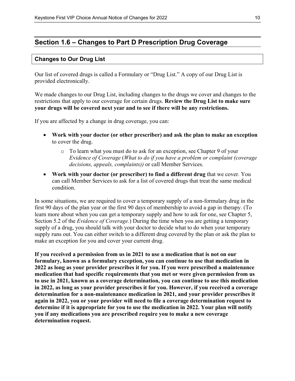# **Section 1.6 – Changes to Part D Prescription Drug Coverage**

#### **Changes to Our Drug List**

Our list of covered drugs is called a Formulary or "Drug List." A copy of our Drug List is provided electronically.

We made changes to our Drug List, including changes to the drugs we cover and changes to the restrictions that apply to our coverage for certain drugs. **Review the Drug List to make sure your drugs will be covered next year and to see if there will be any restrictions.**

If you are affected by a change in drug coverage, you can:

- **Work with your doctor (or other prescriber) and ask the plan to make an exception** to cover the drug.
	- o To learn what you must do to ask for an exception, see Chapter 9 of your *E*v*idence of Coverage* (*What to do if you have a problem or complaint (coverage decisions, appeals, complaints))* or call Member Services.
- **Work with your doctor (or prescriber) to find a different drug** that we cover. You can call Member Services to ask for a list of covered drugs that treat the same medical condition.

In some situations, we are required to cover a temporary supply of a non-formulary drug in the first 90 days of the plan year or the first 90 days of membership to avoid a gap in therapy. (To learn more about when you can get a temporary supply and how to ask for one, see Chapter 5, Section 5.2 of the *Evidence of Coverage.*) During the time when you are getting a temporary supply of a drug, you should talk with your doctor to decide what to do when your temporary supply runs out. You can either switch to a different drug covered by the plan or ask the plan to make an exception for you and cover your current drug.

**If you received a permission from us in 2021 to use a medication that is not on our formulary, known as a formulary exception, you can continue to use that medication in 2022 as long as your provider prescribes it for you. If you were prescribed a maintenance medication that had specific requirements that you met or were given permission from us to use in 2021, known as a coverage determination, you can continue to use this medication in 2022, as long as your provider prescribes it for you. However, if you received a coverage determination for a non-maintenance medication in 2021, and your provider prescribes it again in 2022, you or your provider will need to file a coverage determination request to determine if it is appropriate for you to use the medication in 2022. Your plan will notify you if any medications you are prescribed require you to make a new coverage determination request.**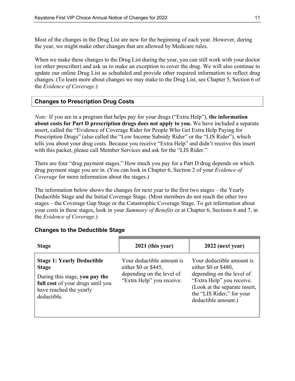Most of the changes in the Drug List are new for the beginning of each year. However, during the year, we might make other changes that are allowed by Medicare rules.

When we make these changes to the Drug List during the year, you can still work with your doctor (or other prescriber) and ask us to make an exception to cover the drug. We will also continue to update our online Drug List as scheduled and provide other required information to reflect drug changes. (To learn more about changes we may make to the Drug List, see Chapter 5, Section 6 of the *Evidence of Coverage*.)

#### **Changes to Prescription Drug Costs**

*Note:* If you are in a program that helps pay for your drugs ("Extra Help"), **the information about costs for Part D prescription drugs does not apply to you.** We have included a separate insert, called the "Evidence of Coverage Rider for People Who Get Extra Help Paying for Prescription Drugs" (also called the "Low Income Subsidy Rider" or the "LIS Rider"), which tells you about your drug costs. Because you receive "Extra Help" and didn't receive this insert with this packet, please call Member Services and ask for the "LIS Rider."

There are four "drug payment stages." How much you pay for a Part D drug depends on which drug payment stage you are in. (You can look in Chapter 6, Section 2 of your *Evidence of Coverage* for more information about the stages.)

The information below shows the changes for next year to the first two stages – the Yearly Deductible Stage and the Initial Coverage Stage. (Most members do not reach the other two stages – the Coverage Gap Stage or the Catastrophic Coverage Stage. To get information about your costs in these stages, look in your *Summary of Benefits* or at Chapter 6, Sections 6 and 7, in the *Evidence of Coverage*.)

| <b>Stage</b>                                                                                                                                                       | 2021 (this year)                                                                                            | 2022 (next year)                                                                                                                                                                                    |
|--------------------------------------------------------------------------------------------------------------------------------------------------------------------|-------------------------------------------------------------------------------------------------------------|-----------------------------------------------------------------------------------------------------------------------------------------------------------------------------------------------------|
| <b>Stage 1: Yearly Deductible</b><br><b>Stage</b><br>During this stage, you pay the<br>full cost of your drugs until you<br>have reached the yearly<br>deductible. | Your deductible amount is<br>either \$0 or \$445,<br>depending on the level of<br>"Extra Help" you receive. | Your deductible amount is<br>either $$0$ or $$480$ ,<br>depending on the level of<br>"Extra Help" you receive.<br>(Look at the separate insert,<br>the "LIS Rider," for your<br>deductible amount.) |

#### **Changes to the Deductible Stage**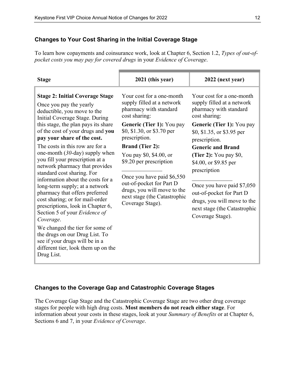#### **Changes to Your Cost Sharing in the Initial Coverage Stage**

To learn how copayments and coinsurance work, look at Chapter 6, Section 1.2, *Types of out-ofpocket costs you may pay for covered drugs* in your *Evidence of Coverage*.

| <b>Stage</b>                                                                                                                                                                                                                                                                                                                                                                                                                                                                                                                                                                                                                                                                                                                                                                                                        | 2021 (this year)                                                                                                                                                                                                                                                                                                                                                                                            | 2022 (next year)                                                                                                                                                                                                                                                                                                                                                                                                           |
|---------------------------------------------------------------------------------------------------------------------------------------------------------------------------------------------------------------------------------------------------------------------------------------------------------------------------------------------------------------------------------------------------------------------------------------------------------------------------------------------------------------------------------------------------------------------------------------------------------------------------------------------------------------------------------------------------------------------------------------------------------------------------------------------------------------------|-------------------------------------------------------------------------------------------------------------------------------------------------------------------------------------------------------------------------------------------------------------------------------------------------------------------------------------------------------------------------------------------------------------|----------------------------------------------------------------------------------------------------------------------------------------------------------------------------------------------------------------------------------------------------------------------------------------------------------------------------------------------------------------------------------------------------------------------------|
| <b>Stage 2: Initial Coverage Stage</b><br>Once you pay the yearly<br>deductible, you move to the<br>Initial Coverage Stage. During<br>this stage, the plan pays its share<br>of the cost of your drugs and you<br>pay your share of the cost.<br>The costs in this row are for a<br>one-month $(30$ -day) supply when<br>you fill your prescription at a<br>network pharmacy that provides<br>standard cost sharing. For<br>information about the costs for a<br>long-term supply; at a network<br>pharmacy that offers preferred<br>cost sharing; or for mail-order<br>prescriptions, look in Chapter 6,<br>Section 5 of your Evidence of<br>Coverage.<br>We changed the tier for some of<br>the drugs on our Drug List. To<br>see if your drugs will be in a<br>different tier, look them up on the<br>Drug List. | Your cost for a one-month<br>supply filled at a network<br>pharmacy with standard<br>cost sharing:<br>Generic (Tier 1): You pay<br>\$0, \$1.30, or \$3.70 per<br>prescription.<br><b>Brand (Tier 2):</b><br>You pay \$0, \$4.00, or<br>\$9.20 per prescription<br>Once you have paid \$6,550<br>out-of-pocket for Part D<br>drugs, you will move to the<br>next stage (the Catastrophic<br>Coverage Stage). | Your cost for a one-month<br>supply filled at a network<br>pharmacy with standard<br>cost sharing:<br>Generic (Tier 1): You pay<br>\$0, \$1.35, or \$3.95 per<br>prescription.<br><b>Generic and Brand</b><br>(Tier 2): You pay \$0,<br>\$4.00, or \$9.85 per<br>prescription<br>Once you have paid \$7,050<br>out-of-pocket for Part D<br>drugs, you will move to the<br>next stage (the Catastrophic<br>Coverage Stage). |

#### **Changes to the Coverage Gap and Catastrophic Coverage Stages**

The Coverage Gap Stage and the Catastrophic Coverage Stage are two other drug coverage stages for people with high drug costs. **Most members do not reach either stage**. For information about your costs in these stages, look at your *Summary of Benefits* or at Chapter 6, Sections 6 and 7, in your *Evidence of Coverage*.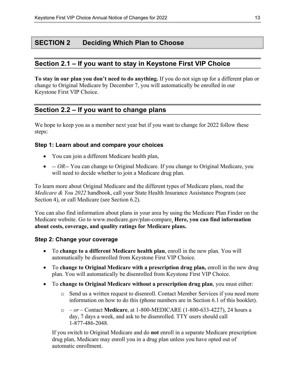# **SECTION 2 Deciding Which Plan to Choose**

# **Section 2.1 – If you want to stay in Keystone First VIP Choice**

**To stay in our plan you don't need to do anything.** If you do not sign up for a different plan or change to Original Medicare by December 7, you will automatically be enrolled in our Keystone First VIP Choice.

# **Section 2.2 – If you want to change plans**

We hope to keep you as a member next year but if you want to change for 2022 follow these steps:

#### **Step 1: Learn about and compare your choices**

- You can join a different Medicare health plan,
- *-- OR*-- You can change to Original Medicare. If you change to Original Medicare, you will need to decide whether to join a Medicare drug plan.

To learn more about Original Medicare and the different types of Medicare plans, read the *Medicare & You 2022* handbook, call your State Health Insurance Assistance Program (see Section 4), or call Medicare (see Section 6.2).

You can also find information about plans in your area by using the Medicare Plan Finder on the Medicare website. Go to [www.medicare.gov/plan-compare.](http://www.medicare.gov/plan-compare) **Here, you can find information about costs, coverage, and quality ratings for Medicare plans.** 

#### **Step 2: Change your coverage**

- To **change to a different Medicare health plan**, enroll in the new plan. You will automatically be disenrolled from Keystone First VIP Choice.
- To **change to Original Medicare with a prescription drug plan,** enroll in the new drug plan. You will automatically be disenrolled from Keystone First VIP Choice.
- To **change to Original Medicare without a prescription drug plan**, you must either:
	- o Send us a written request to disenroll. Contact Member Services if you need more information on how to do this (phone numbers are in Section 6.1 of this booklet).
	- o  *or –* Contact **Medicare**, at 1-800-MEDICARE (1-800-633-4227), 24 hours a day, 7 days a week, and ask to be disenrolled. TTY users should call 1-877-486-2048.

If you switch to Original Medicare and do **not** enroll in a separate Medicare prescription drug plan, Medicare may enroll you in a drug plan unless you have opted out of automatic enrollment.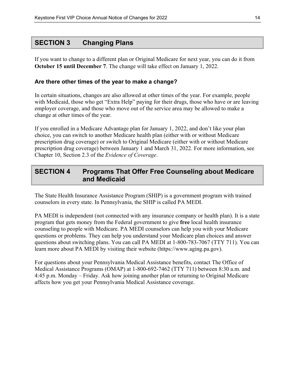# **SECTION 3 Changing Plans**

If you want to change to a different plan or Original Medicare for next year, you can do it from **October 15 until December 7**. The change will take effect on January 1, 2022.

#### **Are there other times of the year to make a change?**

In certain situations, changes are also allowed at other times of the year. For example, people with Medicaid, those who get "Extra Help" paying for their drugs, those who have or are leaving employer coverage, and those who move out of the service area may be allowed to make a change at other times of the year.

If you enrolled in a Medicare Advantage plan for January 1, 2022, and don't like your plan choice, you can switch to another Medicare health plan (either with or without Medicare prescription drug coverage) or switch to Original Medicare (either with or without Medicare prescription drug coverage) between January 1 and March 31, 2022. For more information, see Chapter 10, Section 2.3 of the *Evidence of Coverage*.

# **SECTION 4 Programs That Offer Free Counseling about Medicare and Medicaid**

The State Health Insurance Assistance Program (SHIP) is a government program with trained counselors in every state. In Pennsylvania, the SHIP is called PA MEDI.

PA MEDI is independent (not connected with any insurance company or health plan). It is a state program that gets money from the Federal government to give **free** local health insurance counseling to people with Medicare. PA MEDI counselors can help you with your Medicare questions or problems. They can help you understand your Medicare plan choices and answer questions about switching plans. You can call PA MEDI at 1-800-783-7067 (TTY 711). You can learn more about PA MEDI by visiting their website ([https://www.aging.pa.gov\)](https://www.aging.pa.gov).

For questions about your Pennsylvania Medical Assistance benefits, contact The Office of Medical Assistance Programs (OMAP) at 1-800-692-7462 (TTY 711) between 8:30 a.m. and 4:45 p.m. Monday – Friday. Ask how joining another plan or returning to Original Medicare affects how you get your Pennsylvania Medical Assistance coverage.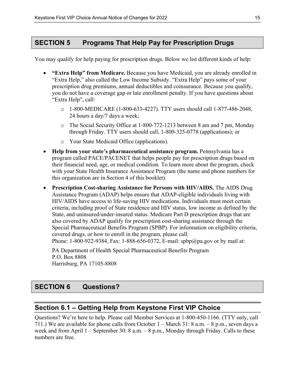# **SECTION 5 Programs That Help Pay for Prescription Drugs**

You may qualify for help paying for prescription drugs. Below we list different kinds of help:

- **"Extra Help" from Medicare.** Because you have Medicaid, you are already enrolled in "Extra Help," also called the Low Income Subsidy. "Extra Help" pays some of your prescription drug premiums, annual deductibles and coinsurance. Because you qualify, you do not have a coverage gap or late enrollment penalty. If you have questions about "Extra Help", call:
	- $\circ$  1-800-MEDICARE (1-800-633-4227). TTY users should call 1-877-486-2048, 24 hours a day/7 days a week;
	- o The Social Security Office at 1-800-772-1213 between 8 am and 7 pm, Monday through Friday. TTY users should call, 1-800-325-0778 (applications); or
	- o Your State Medicaid Office (applications).
- **Help from your state's pharmaceutical assistance program.** Pennsylvania has a program called PACE/PACENET that helps people pay for prescription drugs based on their financial need, age, or medical condition*.* To learn more about the program, check with your State Health Insurance Assistance Program (the name and phone numbers for this organization are in Section 4 of this booklet)*.*
- **Prescription Cost-sharing Assistance for Persons with HIV/AIDS.** The AIDS Drug Assistance Program (ADAP) helps ensure that ADAP-eligible individuals living with HIV/AIDS have access to life-saving HIV medications. Individuals must meet certain criteria, including proof of State residence and HIV status, low income as defined by the State, and uninsured/under-insured status. Medicare Part D prescription drugs that are also covered by ADAP qualify for prescription cost-sharing assistance through the Special Pharmaceutical Benefits Program (SPBP)*.* For information on eligibility criteria, covered drugs, or how to enroll in the program, please call: Phone: 1-800-922-9384, Fax: 1-888-656-0372, E-mail: [spbp@pa.gov o](mailto:spbp@pa.gov)r by mail at:

 PA Department of Health Special Pharmaceutical Benefits Program P.O. Box 8808 Harrisburg, PA 17105-8808

# **SECTION 6 Questions?**

# **Section 6.1 – Getting Help from Keystone First VIP Choice**

Questions? We're here to help. Please call Member Services at 1-800-450-1166*.* (TTY only, call 711.) We are available for phone calls from October 1 – March 31: 8 a.m. – 8 p.m., seven days a week and from April 1 – September 30: 8 a.m. – 8 p.m., Monday through Friday. Calls to these numbers are free.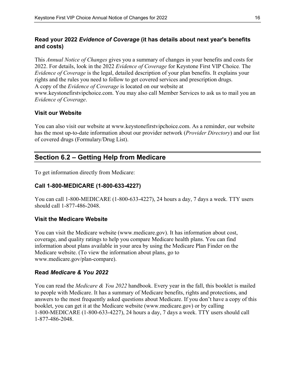## **Read your 2022** *Evidence of Coverage* **(it has details about next year's benefits and costs)**

This *Annual Notice of Changes* gives you a summary of changes in your benefits and costs for 2022. For details, look in the 2022 *Evidence of Coverage* for Keystone First VIP Choice*.* The *Evidence of Coverage* is the legal, detailed description of your plan benefits. It explains your rights and the rules you need to follow to get covered services and prescription drugs. A copy of the *Evidence of Coverage* is located on our website at [www.keystonefirstvipchoice.com.](http://www.keystonefirstvipchoice.com) You may also call Member Services to ask us to mail you an *Evidence of Coverage*.

## **Visit our Website**

You can also visit our website at [www.keystonefirstvipchoice.com.](http://www.keystonefirstvipchoice.com) As a reminder, our website has the most up-to-date information about our provider network (*Provider Directory*) and our list of covered drugs (Formulary/Drug List).

# **Section 6.2 – Getting Help from Medicare**

To get information directly from Medicare:

#### **Call 1-800-MEDICARE (1-800-633-4227)**

You can call 1-800-MEDICARE (1-800-633-4227), 24 hours a day, 7 days a week. TTY users should call 1-877-486-2048.

#### **Visit the Medicare Website**

You can visit the Medicare website ([www.medicare.gov\)](http://www.medicare.gov). It has information about cost, coverage, and quality ratings to help you compare Medicare health plans. You can find information about plans available in your area by using the Medicare Plan Finder on the Medicare website. (To view the information about plans, go to [www.medicare.gov/plan-compare](http://www.medicare.gov/plan-compare)).

#### **Read** *Medicare & You 2022*

You can read the *Medicare & You 2022* handbook. Every year in the fall, this booklet is mailed to people with Medicare. It has a summary of Medicare benefits, rights and protections, and answers to the most frequently asked questions about Medicare. If you don't have a copy of this booklet, you can get it at the Medicare website [\(www.medicare.gov\)](http://www.medicare.gov) or by calling 1-800-MEDICARE (1-800-633-4227), 24 hours a day, 7 days a week. TTY users should call 1-877-486-2048.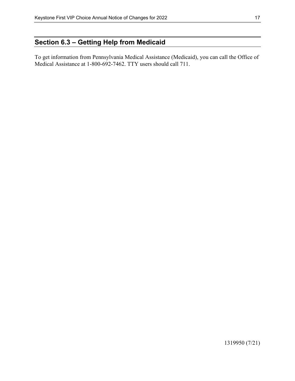# **Section 6.3 – Getting Help from Medicaid**

To get information from Pennsylvania Medical Assistance (Medicaid), you can call the Office of Medical Assistance at 1-800-692-7462. TTY users should call 711.